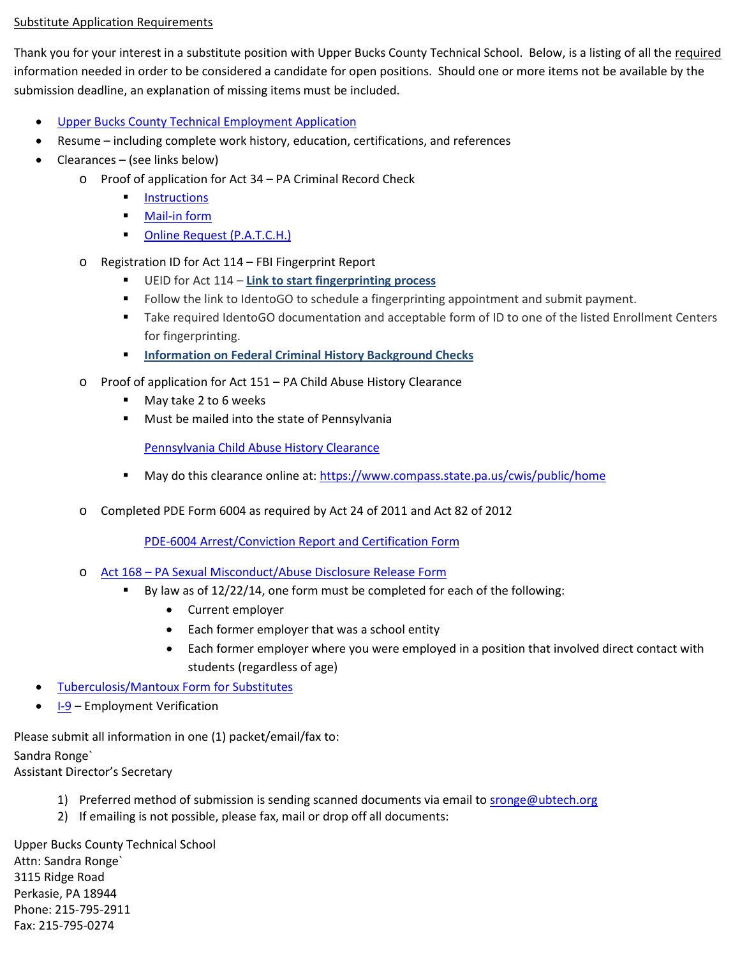## Substitute Application Requirements

Thank you for your interest in a substitute position with Upper Bucks County Technical School. Below, is a listing of all the required information needed in order to be considered a candidate for open positions. Should one or more items not be available by the submission deadline, an explanation of missing items must be included.

- [Upper Bucks County Technical Employment Application](https://www.ubtech.org/ubt/_zumu_user_doc_cache/Application%20for%20Employment.pdf)
- Resume including complete work history, education, certifications, and references
- Clearances (see links below)
	- o Proof of application for Act 34 PA Criminal Record Check
		- **[Instructions](https://www.ubtech.org/ubt/_zumu_user_doc_cache/Applicant%20Background%20Check%20Required%20by%20Act%2034%20of%201985.pdf)**
		- [Mail-in form](https://www.ubtech.org/ubt/_zumu_user_doc_cache/CriminalBackgroundCheck1.pdf)
		- **CONLINE Request (P.A.T.C.H.)**
	- o Registration ID for Act 114 FBI Fingerprint Report
		- UEID for Act 114 **[Link to start fingerprinting process](https://uenroll.identogo.com/workflows/1KG6NX)**
		- **FILLO** Follow the link to IdentoGO to schedule a fingerprinting appointment and submit payment.
		- Take required IdentoGO documentation and acceptable form of ID to one of the listed Enrollment Centers for fingerprinting.
		- **[Information on Federal Criminal History Background Checks](http://www.education.pa.gov/Teachers%20-%20Administrators/Background%20checks/Pages/Federal-Criminal-History-Background-Checks.aspx#tab-1)**
	- o Proof of application for Act 151 PA Child Abuse History Clearance
		- May take 2 to 6 weeks
		- Must be mailed into the state of Pennsylvania

Pennsylvania Child [Abuse History Clearance](https://www.ubtech.org/ubt/_zumu_user_doc_cache/Child%20Abuse.pdf)

- May do this clearance online at[: https://www.compass.state.pa.us/cwis/public/home](https://www.compass.state.pa.us/cwis/public/home)
- o Completed PDE Form 6004 as required by Act 24 of 2011 and Act 82 of 2012

[PDE-6004 Arrest/Conviction Report and Certification Form](https://www.ubtech.org/ubt/_zumu_user_doc_cache/Arrest%20or%20Conviction%20form.pdf)

- o [Act 168 PA Sexual Misconduct/Abuse Disclosure Release Form](https://www.ubtech.org/ubt/_zumu_user_doc_cache/Act168%20Form.pdf)
	- By law as of 12/22/14, one form must be completed for each of the following:
		- Current employer
		- Each former employer that was a school entity
		- Each former employer where you were employed in a position that involved direct contact with students (regardless of age)
- [Tuberculosis/Mantoux Form for Substitutes](https://www.ubtech.org/ubt/_zumu_user_doc_cache/Tuberculosis%20FormAug2010.pdf)
- **[I-9](https://www.ubtech.org/ubt/_zumu_user_doc_cache/I-9%20Form.pdf)  Employment Verification**

Please submit all information in one (1) packet/email/fax to:

Sandra Ronge`

Assistant Director's Secretary

- 1) Preferred method of submission is sending scanned documents via email to [sronge@ubtech.org](mailto:sronge@ubtech.org)
- 2) If emailing is not possible, please fax, mail or drop off all documents:

Upper Bucks County Technical School Attn: Sandra Ronge` 3115 Ridge Road Perkasie, PA 18944 Phone: 215-795-2911 Fax: 215-795-0274